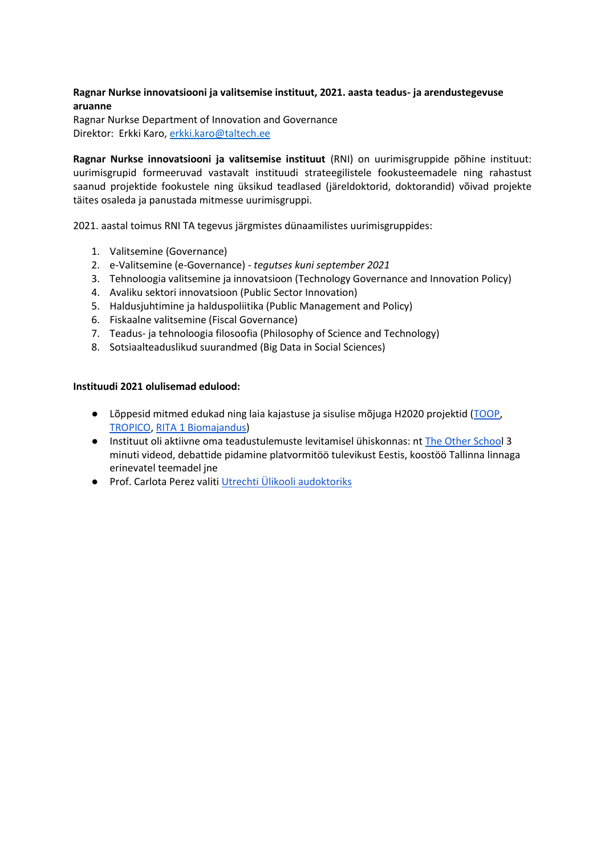## **Ragnar Nurkse innovatsiooni ja valitsemise instituut, 2021. aasta teadus- ja arendustegevuse aruanne**

Ragnar Nurkse Department of Innovation and Governance Direktor: Erkki Karo, [erkki.karo@taltech.ee](mailto:erkki.karo@taltech.ee)

**Ragnar Nurkse innovatsiooni ja valitsemise instituut** (RNI) on uurimisgruppide põhine instituut: uurimisgrupid formeeruvad vastavalt instituudi strateegilistele fookusteemadele ning rahastust saanud projektide fookustele ning üksikud teadlased (järeldoktorid, doktorandid) võivad projekte täites osaleda ja panustada mitmesse uurimisgruppi.

2021. aastal toimus RNI TA tegevus järgmistes dünaamilistes uurimisgruppides:

- 1. Valitsemine (Governance)
- 2. e-Valitsemine (e-Governance) *tegutses kuni september 2021*
- 3. Tehnoloogia valitsemine ja innovatsioon (Technology Governance and Innovation Policy)
- 4. Avaliku sektori innovatsioon (Public Sector Innovation)
- 5. Haldusjuhtimine ja halduspoliitika (Public Management and Policy)
- 6. Fiskaalne valitsemine (Fiscal Governance)
- 7. Teadus- ja tehnoloogia filosoofia (Philosophy of Science and Technology)
- 8. Sotsiaalteaduslikud suurandmed (Big Data in Social Sciences)

#### **Instituudi 2021 olulisemad edulood:**

- Lõppesid mitmed edukad ning laia kajastuse ja sisulise mõjuga H2020 projektid ([TOOP,](https://toop.eu/) [TROPICO,](http://tropico-project.eu/) [RITA 1 Biomajandus\)](https://taltech.ee/biomajandus)
- Instituut oli aktiivne oma teadustulemuste levitamisel ühiskonnas: nt [The Other School](https://theotherschool.art/) 3 minuti videod, debattide pidamine platvormitöö tulevikust Eestis, koostöö Tallinna linnaga erinevatel teemadel jne
- Prof. Carlota Perez valiti [Utrechti Ülikooli audoktoriks](https://www.uu.nl/en/news/utrecht-university-confers-three-honorary-doctorates)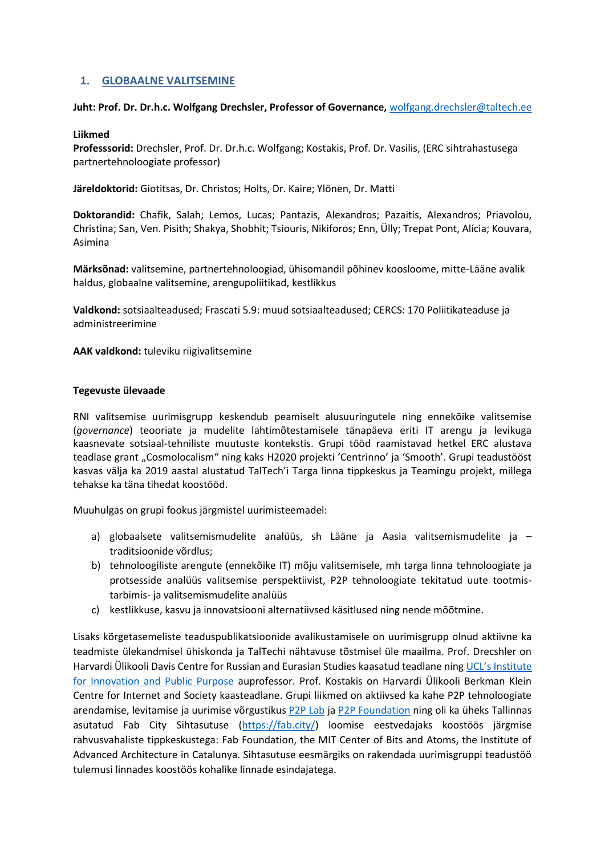# **1. GLOBAALNE VALITSEMINE**

#### **Juht: Prof. Dr. Dr.h.c. Wolfgang Drechsler, Professor of Governance,** [wolfgang.drechsler@taltech.ee](mailto:wolfgang.drechsler@taltech.ee)

#### **Liikmed**

**Professsorid:** Drechsler, Prof. Dr. Dr.h.c. Wolfgang; Kostakis, Prof. Dr. Vasilis, (ERC sihtrahastusega partnertehnoloogiate professor)

**Järeldoktorid:** Giotitsas, Dr. Christos; Holts, Dr. Kaire; Ylönen, Dr. Matti

**Doktorandid:** Chafik, Salah; Lemos, Lucas; Pantazis, Alexandros; Pazaitis, Alexandros; Priavolou, Christina; San, Ven. Pisith; Shakya, Shobhit; Tsiouris, Nikiforos; Enn, Ülly; Trepat Pont, Alícia; Kouvara, Asimina

**Märksõnad:** valitsemine, partnertehnoloogiad, ühisomandil põhinev koosloome, mitte-Lääne avalik haldus, globaalne valitsemine, arengupoliitikad, kestlikkus

**Valdkond:** sotsiaalteadused; Frascati 5.9: muud sotsiaalteadused; CERCS: 170 Poliitikateaduse ja administreerimine

**AAK valdkond:** tuleviku riigivalitsemine

## **Tegevuste ülevaade**

RNI valitsemise uurimisgrupp keskendub peamiselt alusuuringutele ning ennekõike valitsemise (*governance*) teooriate ja mudelite lahtimõtestamisele tänapäeva eriti IT arengu ja levikuga kaasnevate sotsiaal-tehniliste muutuste kontekstis. Grupi tööd raamistavad hetkel ERC alustava teadlase grant "Cosmolocalism" ning kaks H2020 projekti 'Centrinno' ja 'Smooth'. Grupi teadustööst kasvas välja ka 2019 aastal alustatud TalTech'i Targa linna tippkeskus ja Teamingu projekt, millega tehakse ka täna tihedat koostööd.

Muuhulgas on grupi fookus järgmistel uurimisteemadel:

- a) globaalsete valitsemismudelite analüüs, sh Lääne ja Aasia valitsemismudelite ja traditsioonide võrdlus;
- b) tehnoloogiliste arengute (ennekõike IT) mõju valitsemisele, mh targa linna tehnoloogiate ja protsesside analüüs valitsemise perspektiivist, P2P tehnoloogiate tekitatud uute tootmistarbimis- ja valitsemismudelite analüüs
- c) kestlikkuse, kasvu ja innovatsiooni alternatiivsed käsitlused ning nende mõõtmine.

Lisaks kõrgetasemeliste teaduspublikatsioonide avalikustamisele on uurimisgrupp olnud aktiivne ka teadmiste ülekandmisel ühiskonda ja TalTechi nähtavuse tõstmisel üle maailma. Prof. Drecshler on Harvardi Ülikooli Davis Centre for Russian and Eurasian Studies kaasatud teadlane ning [UCL's Institute](https://www.ucl.ac.uk/bartlett/public-purpose/)  [for Innovation and Public Purpose](https://www.ucl.ac.uk/bartlett/public-purpose/) auprofessor. Prof. Kostakis on Harvardi Ülikooli Berkman Klein Centre for Internet and Society kaasteadlane. Grupi liikmed on aktiivsed ka kahe P2P tehnoloogiate arendamise, levitamise ja uurimise võrgustikus [P2P Lab](http://www.p2plab.gr/en/) ja [P2P Foundation](https://p2pfoundation.net/) ning oli ka üheks Tallinnas asutatud Fab City Sihtasutuse [\(https://fab.city/](https://fab.city/)) loomise eestvedajaks koostöös järgmise rahvusvahaliste tippkeskustega: Fab Foundation, the MIT Center of Bits and Atoms, the Institute of Advanced Architecture in Catalunya. Sihtasutuse eesmärgiks on rakendada uurimisgruppi teadustöö tulemusi linnades koostöös kohalike linnade esindajatega.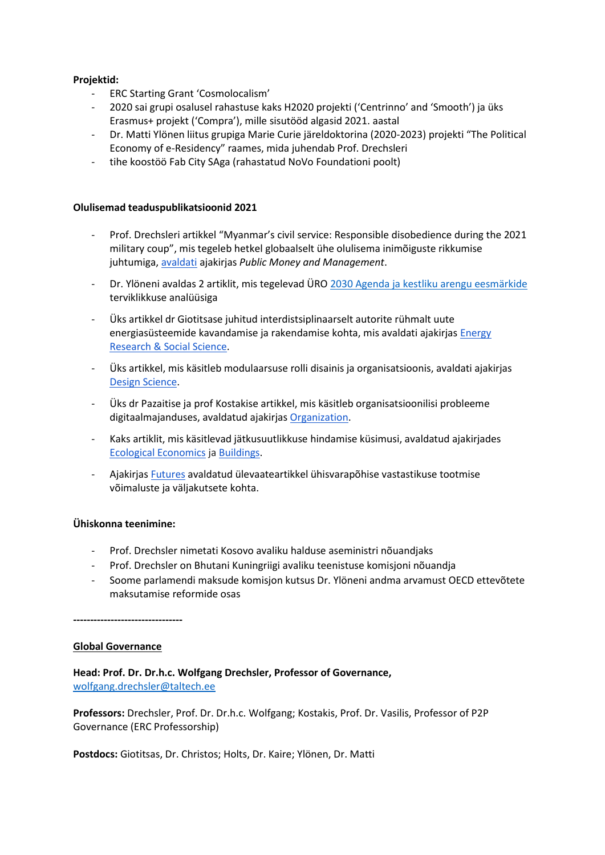## **Projektid:**

- ERC Starting Grant 'Cosmolocalism'
- 2020 sai grupi osalusel rahastuse kaks H2020 projekti ('Centrinno' and 'Smooth') ja üks Erasmus+ projekt ('Compra'), mille sisutööd algasid 2021. aastal
- Dr. Matti Ylönen liitus grupiga Marie Curie järeldoktorina (2020-2023) projekti "The Political Economy of e-Residency" raames, mida juhendab Prof. Drechsleri
- tihe koostöö Fab City SAga (rahastatud NoVo Foundationi poolt)

#### **Olulisemad teaduspublikatsioonid 2021**

- Prof. Drechsleri artikkel "Myanmar's civil service: Responsible disobedience during the 2021 military coup", mis tegeleb hetkel globaalselt ühe olulisema inimõiguste rikkumise juhtumiga[, avaldati](https://www.tandfonline.com/doi/full/10.1080/09540962.2021.1928948) ajakirjas *Public Money and Management*.
- Dr. Ylöneni avaldas 2 artiklit, mis tegelevad ÜRO [2030 Agenda ja kestliku arengu eesmärkide](about:blank)  terviklikkuse analüüsiga
- Üks artikkel dr Giotitsase juhitud interdistsiplinaarselt autorite rühmalt uute energiasüsteemide kavandamise ja rakendamise kohta, mis avaldati ajakirjas [Energy](https://www.sciencedirect.com/science/article/pii/S221462962100445X)  [Research & Social Science.](https://www.sciencedirect.com/science/article/pii/S221462962100445X)
- Üks artikkel, mis käsitleb modulaarsuse rolli disainis ja organisatsioonis, avaldati ajakirjas [Design Science.](https://www.cambridge.org/core/journals/design-science/article/mapping-the-types-of-modularity-in-opensource-hardware/0C08CEF5543FDB0EAA2835F009EBA73E)
- Üks dr Pazaitise ja prof Kostakise artikkel, mis käsitleb organisatsioonilisi probleeme digitaalmajanduses, avaldatud ajakirja[s Organization.](https://journals.sagepub.com/doi/full/10.1177/13505084211020192)
- Kaks artiklit, mis käsitlevad jätkusuutlikkuse hindamise küsimusi, avaldatud ajakirjades [Ecological Economics](https://www.sciencedirect.com/science/article/abs/pii/S0921800921000653) j[a Buildings.](https://www.mdpi.com/2075-5309/11/7/297)
- Ajakirjas [Futures](https://www.sciencedirect.com/science/article/abs/pii/S0016328721000690) avaldatud ülevaateartikkel ühisvarapõhise vastastikuse tootmise võimaluste ja väljakutsete kohta.

#### **Ühiskonna teenimine:**

- Prof. Drechsler nimetati Kosovo avaliku halduse aseministri nõuandjaks
- Prof. Drechsler on Bhutani Kuningriigi avaliku teenistuse komisjoni nõuandja
- Soome parlamendi maksude komisjon kutsus Dr. Ylöneni andma arvamust OECD ettevõtete maksutamise reformide osas

**--------------------------------**

#### **Global Governance**

**Head: Prof. Dr. Dr.h.c. Wolfgang Drechsler, Professor of Governance,**  [wolfgang.drechsler@taltech.ee](mailto:wolfgang.drechsler@taltech.ee)

**Professors:** Drechsler, Prof. Dr. Dr.h.c. Wolfgang; Kostakis, Prof. Dr. Vasilis, Professor of P2P Governance (ERC Professorship)

**Postdocs:** Giotitsas, Dr. Christos; Holts, Dr. Kaire; Ylönen, Dr. Matti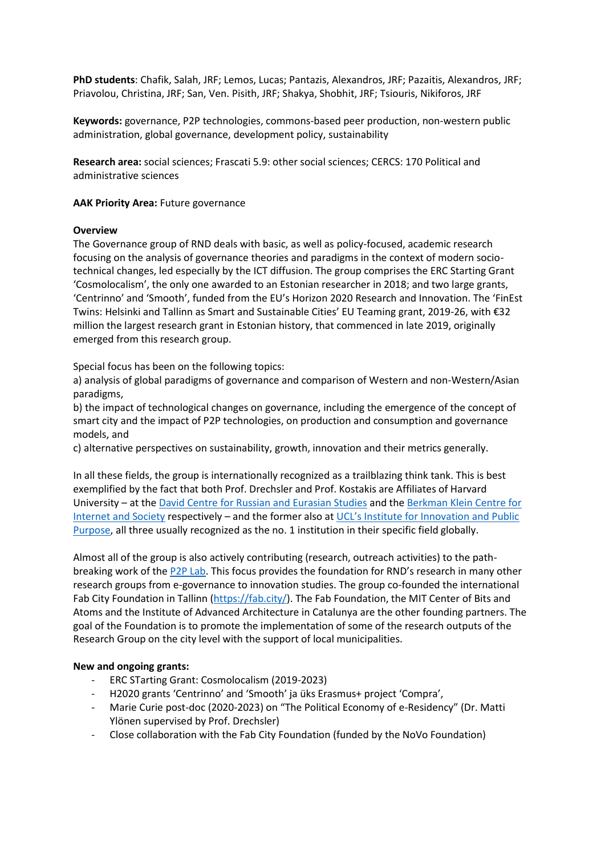**PhD students**: Chafik, Salah, JRF; Lemos, Lucas; Pantazis, Alexandros, JRF; Pazaitis, Alexandros, JRF; Priavolou, Christina, JRF; San, Ven. Pisith, JRF; Shakya, Shobhit, JRF; Tsiouris, Nikiforos, JRF

**Keywords:** governance, P2P technologies, commons-based peer production, non-western public administration, global governance, development policy, sustainability

**Research area:** social sciences; Frascati 5.9: other social sciences; CERCS: 170 Political and administrative sciences

#### **AAK Priority Area: Future governance**

#### **Overview**

The Governance group of RND deals with basic, as well as policy-focused, academic research focusing on the analysis of governance theories and paradigms in the context of modern sociotechnical changes, led especially by the ICT diffusion. The group comprises the ERC Starting Grant 'Cosmolocalism', the only one awarded to an Estonian researcher in 2018; and two large grants, 'Centrinno' and 'Smooth', funded from the EU's Horizon 2020 Research and Innovation. The 'FinEst Twins: Helsinki and Tallinn as Smart and Sustainable Cities' EU Teaming grant, 2019-26, with €32 million the largest research grant in Estonian history, that commenced in late 2019, originally emerged from this research group.

Special focus has been on the following topics:

a) analysis of global paradigms of governance and comparison of Western and non-Western/Asian paradigms,

b) the impact of technological changes on governance, including the emergence of the concept of smart city and the impact of P2P technologies, on production and consumption and governance models, and

c) alternative perspectives on sustainability, growth, innovation and their metrics generally.

In all these fields, the group is internationally recognized as a trailblazing think tank. This is best exemplified by the fact that both Prof. Drechsler and Prof. Kostakis are Affiliates of Harvard University – at th[e David Centre for Russian and Eurasian Studies](https://daviscenter.fas.harvard.edu/) and th[e Berkman Klein Centre for](https://cyber.harvard.edu/)  [Internet and Society](https://cyber.harvard.edu/) respectively – and the former also at [UCL's Institute for Innovation and Public](https://www.ucl.ac.uk/bartlett/public-purpose/)  [Purpose,](https://www.ucl.ac.uk/bartlett/public-purpose/) all three usually recognized as the no. 1 institution in their specific field globally.

Almost all of the group is also actively contributing (research, outreach activities) to the pathbreaking work of th[e P2P Lab.](http://www.p2plab.gr/en/) This focus provides the foundation for RND's research in many other research groups from e-governance to innovation studies. The group co-founded the international Fab City Foundation in Tallinn [\(https://fab.city/\)](https://fab.city/). The Fab Foundation, the MIT Center of Bits and Atoms and the Institute of Advanced Architecture in Catalunya are the other founding partners. The goal of the Foundation is to promote the implementation of some of the research outputs of the Research Group on the city level with the support of local municipalities.

#### **New and ongoing grants:**

- ERC STarting Grant: Cosmolocalism (2019-2023)
- H2020 grants 'Centrinno' and 'Smooth' ja üks Erasmus+ project 'Compra',
- Marie Curie post-doc (2020-2023) on "The Political Economy of e-Residency" (Dr. Matti Ylönen supervised by Prof. Drechsler)
- Close collaboration with the Fab City Foundation (funded by the NoVo Foundation)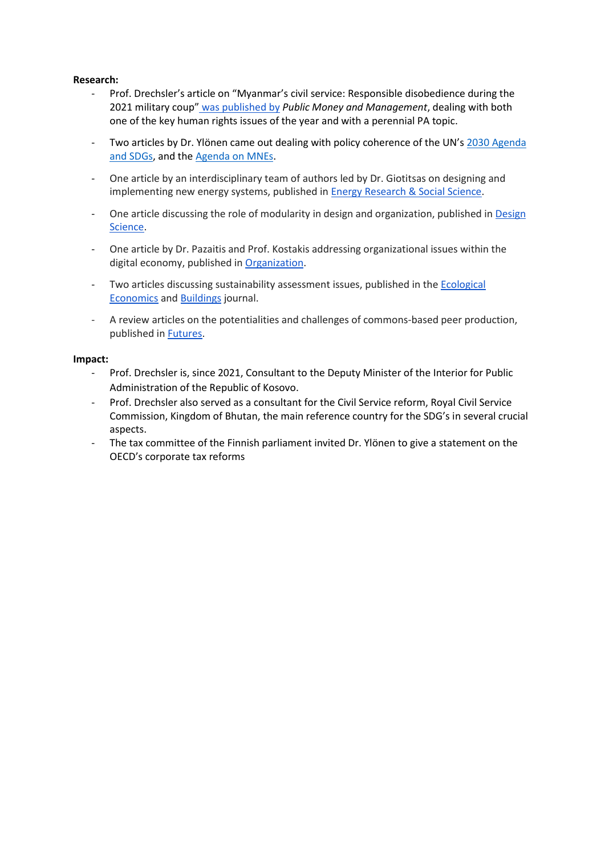#### **Research:**

- Prof. Drechsler's article on "Myanmar's civil service: Responsible disobedience during the 2021 military coup" [was published by](https://www.tandfonline.com/doi/full/10.1080/09540962.2021.1928948) *Public Money and Management*, dealing with both one of the key human rights issues of the year and with a perennial PA topic.
- Two articles by Dr. Ylönen came out dealing with policy coherence of the UN's [2030 Agenda](about:blank)  [and SDGs,](about:blank) and the [Agenda on MNEs.](about:blank)
- One article by an interdisciplinary team of authors led by Dr. Giotitsas on designing and implementing new energy systems, published in **Energy Research & Social Science**.
- One article discussing the role of modularity in design and organization, published in Design [Science.](https://www.cambridge.org/core/journals/design-science/article/mapping-the-types-of-modularity-in-opensource-hardware/0C08CEF5543FDB0EAA2835F009EBA73E)
- One article by Dr. Pazaitis and Prof. Kostakis addressing organizational issues within the digital economy, published in [Organization.](https://journals.sagepub.com/doi/full/10.1177/13505084211020192)
- Two articles discussing sustainability assessment issues, published in the [Ecological](https://www.sciencedirect.com/science/article/abs/pii/S0921800921000653)  [Economics](https://www.sciencedirect.com/science/article/abs/pii/S0921800921000653) an[d Buildings](https://www.mdpi.com/2075-5309/11/7/297) journal.
- A review articles on the potentialities and challenges of commons-based peer production, published in [Futures.](https://www.sciencedirect.com/science/article/abs/pii/S0016328721000690)

#### **Impact:**

- Prof. Drechsler is, since 2021, Consultant to the Deputy Minister of the Interior for Public Administration of the Republic of Kosovo.
- Prof. Drechsler also served as a consultant for the Civil Service reform, Royal Civil Service Commission, Kingdom of Bhutan, the main reference country for the SDG's in several crucial aspects.
- The tax committee of the Finnish parliament invited Dr. Ylönen to give a statement on the OECD's corporate tax reforms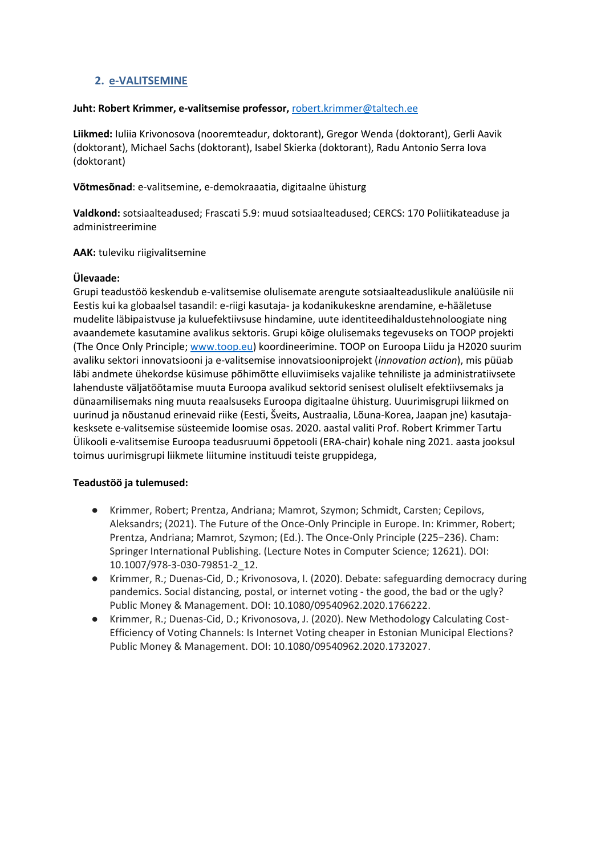# **2. e-VALITSEMINE**

#### **Juht: Robert Krimmer, e-valitsemise professor,** [robert.krimmer@taltech.ee](mailto:robert.krimmer@taltech.ee)

**Liikmed:** Iuliia Krivonosova (nooremteadur, doktorant), Gregor Wenda (doktorant), Gerli Aavik (doktorant), Michael Sachs (doktorant), Isabel Skierka (doktorant), Radu Antonio Serra Iova (doktorant)

**Võtmesõnad**: e-valitsemine, e-demokraaatia, digitaalne ühisturg

**Valdkond:** sotsiaalteadused; Frascati 5.9: muud sotsiaalteadused; CERCS: 170 Poliitikateaduse ja administreerimine

**AAK:** tuleviku riigivalitsemine

## **Ülevaade:**

Grupi teadustöö keskendub e-valitsemise olulisemate arengute sotsiaalteaduslikule analüüsile nii Eestis kui ka globaalsel tasandil: e-riigi kasutaja- ja kodanikukeskne arendamine, e-hääletuse mudelite läbipaistvuse ja kuluefektiivsuse hindamine, uute identiteedihaldustehnoloogiate ning avaandemete kasutamine avalikus sektoris. Grupi kõige olulisemaks tegevuseks on TOOP projekti (The Once Only Principle; [www.toop.eu\)](http://www.toop.eu/) koordineerimine. TOOP on Euroopa Liidu ja H2020 suurim avaliku sektori innovatsiooni ja e-valitsemise innovatsiooniprojekt (*innovation action*), mis püüab läbi andmete ühekordse küsimuse põhimõtte elluviimiseks vajalike tehniliste ja administratiivsete lahenduste väljatöötamise muuta Euroopa avalikud sektorid senisest oluliselt efektiivsemaks ja dünaamilisemaks ning muuta reaalsuseks Euroopa digitaalne ühisturg. Uuurimisgrupi liikmed on uurinud ja nõustanud erinevaid riike (Eesti, Šveits, Austraalia, Lõuna-Korea, Jaapan jne) kasutajakesksete e-valitsemise süsteemide loomise osas. 2020. aastal valiti Prof. Robert Krimmer Tartu Ülikooli e-valitsemise Euroopa teadusruumi õppetooli (ERA-chair) kohale ning 2021. aasta jooksul toimus uurimisgrupi liikmete liitumine instituudi teiste gruppidega,

## **Teadustöö ja tulemused:**

- Krimmer, Robert; Prentza, Andriana; Mamrot, Szymon; Schmidt, Carsten; Cepilovs, Aleksandrs; (2021). The Future of the Once-Only Principle in Europe. In: Krimmer, Robert; Prentza, Andriana; Mamrot, Szymon; (Ed.). The Once-Only Principle (225−236). Cham: Springer International Publishing. (Lecture Notes in Computer Science; 12621). DOI: [10.1007/978-3-030-79851-2\\_12.](https://doi.org/10.1007/978-3-030-79851-2_12)
- Krimmer, R.; Duenas-Cid, D.; Krivonosova, I. (2020). Debate: safeguarding democracy during pandemics. Social distancing, postal, or internet voting - the good, the bad or the ugly? Public Money & Management. DOI: [10.1080/09540962.2020.1766222.](http://doi.org/10.1080/09540962.2020.1766222)
- Krimmer, R.; Duenas-Cid, D.; Krivonosova, J. (2020). New Methodology Calculating Cost-Efficiency of Voting Channels: Is Internet Voting cheaper in Estonian Municipal Elections? Public Money & Management. DOI: [10.1080/09540962.2020.1732027.](http://doi.org/10.1080/09540962.2020.1732027)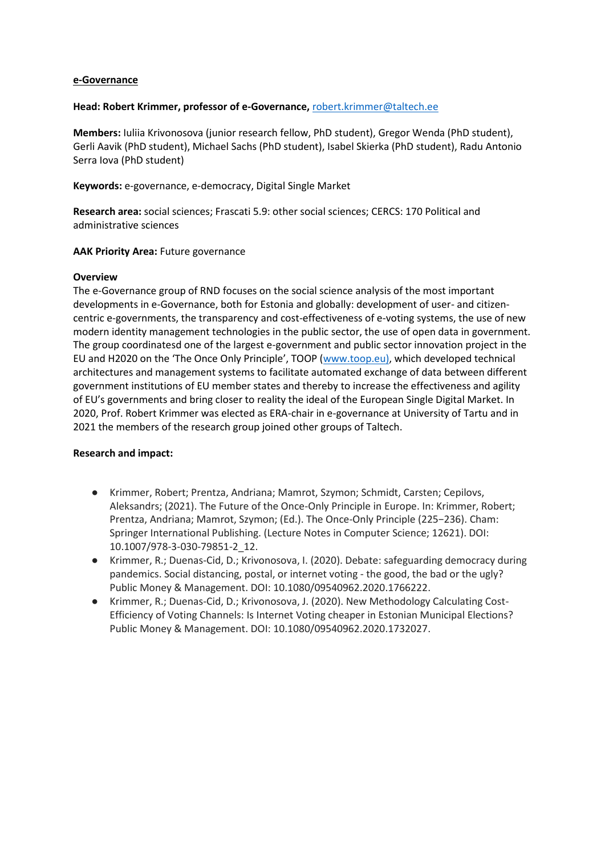#### **e-Governance**

#### **Head: Robert Krimmer, professor of e-Governance,** [robert.krimmer@taltech.ee](mailto:robert.krimmer@taltech.ee)

**Members:** Iuliia Krivonosova (junior research fellow, PhD student), Gregor Wenda (PhD student), Gerli Aavik (PhD student), Michael Sachs (PhD student), Isabel Skierka (PhD student), Radu Antonio Serra Iova (PhD student)

**Keywords:** e-governance, e-democracy, Digital Single Market

**Research area:** social sciences; Frascati 5.9: other social sciences; CERCS: 170 Political and administrative sciences

#### **AAK Priority Area: Future governance**

#### **Overview**

The e-Governance group of RND focuses on the social science analysis of the most important developments in e-Governance, both for Estonia and globally: development of user- and citizencentric e-governments, the transparency and cost-effectiveness of e-voting systems, the use of new modern identity management technologies in the public sector, the use of open data in government. The group coordinatesd one of the largest e-government and public sector innovation project in the EU and H2020 on the 'The Once Only Principle', TOOP ([www.toop.eu\),](about:blank) which developed technical architectures and management systems to facilitate automated exchange of data between different government institutions of EU member states and thereby to increase the effectiveness and agility of EU's governments and bring closer to reality the ideal of the European Single Digital Market. In 2020, Prof. Robert Krimmer was elected as ERA-chair in e-governance at University of Tartu and in 2021 the members of the research group joined other groups of Taltech.

#### **Research and impact:**

- Krimmer, Robert; Prentza, Andriana; Mamrot, Szymon; Schmidt, Carsten; Cepilovs, Aleksandrs; (2021). The Future of the Once-Only Principle in Europe. In: Krimmer, Robert; Prentza, Andriana; Mamrot, Szymon; (Ed.). The Once-Only Principle (225−236). Cham: Springer International Publishing. (Lecture Notes in Computer Science; 12621). DOI: [10.1007/978-3-030-79851-2\\_12.](https://doi.org/10.1007/978-3-030-79851-2_12)
- Krimmer, R.; Duenas-Cid, D.; Krivonosova, I. (2020). Debate: safeguarding democracy during pandemics. Social distancing, postal, or internet voting - the good, the bad or the ugly? Public Money & Management. DOI: [10.1080/09540962.2020.1766222.](http://doi.org/10.1080/09540962.2020.1766222)
- Krimmer, R.; Duenas-Cid, D.; Krivonosova, J. (2020). New Methodology Calculating Cost-Efficiency of Voting Channels: Is Internet Voting cheaper in Estonian Municipal Elections? Public Money & Management. DOI: [10.1080/09540962.2020.1732027.](http://doi.org/10.1080/09540962.2020.1732027)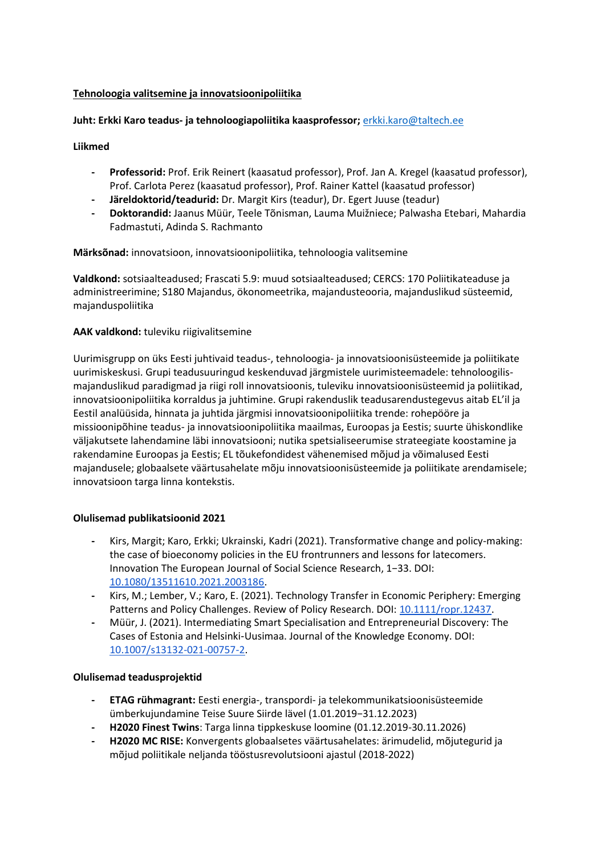## **Tehnoloogia valitsemine ja innovatsioonipoliitika**

## **Juht: Erkki Karo teadus- ja tehnoloogiapoliitika kaasprofessor;** [erkki.karo@taltech.ee](mailto:erkki.karo@taltech.ee)

**Liikmed**

- **- Professorid:** Prof. Erik Reinert (kaasatud professor), Prof. Jan A. Kregel (kaasatud professor), Prof. Carlota Perez (kaasatud professor), Prof. Rainer Kattel (kaasatud professor)
- **- Järeldoktorid/teadurid:** Dr. Margit Kirs (teadur), Dr. Egert Juuse (teadur)
- **- Doktorandid:** Jaanus Müür, Teele Tõnisman, Lauma Muižniece; Palwasha Etebari, Mahardia Fadmastuti, Adinda S. Rachmanto

**Märksõnad:** innovatsioon, innovatsioonipoliitika, tehnoloogia valitsemine

**Valdkond:** sotsiaalteadused; Frascati 5.9: muud sotsiaalteadused; CERCS: 170 Poliitikateaduse ja administreerimine; S180 Majandus, ökonomeetrika, majandusteooria, majanduslikud süsteemid, majanduspoliitika

## **AAK valdkond:** tuleviku riigivalitsemine

Uurimisgrupp on üks Eesti juhtivaid teadus-, tehnoloogia- ja innovatsioonisüsteemide ja poliitikate uurimiskeskusi. Grupi teadusuuringud keskenduvad järgmistele uurimisteemadele: tehnoloogilismajanduslikud paradigmad ja riigi roll innovatsioonis, tuleviku innovatsioonisüsteemid ja poliitikad, innovatsioonipoliitika korraldus ja juhtimine. Grupi rakenduslik teadusarendustegevus aitab EL'il ja Eestil analüüsida, hinnata ja juhtida järgmisi innovatsioonipoliitika trende: rohepööre ja missioonipõhine teadus- ja innovatsioonipoliitika maailmas, Euroopas ja Eestis; suurte ühiskondlike väljakutsete lahendamine läbi innovatsiooni; nutika spetsialiseerumise strateegiate koostamine ja rakendamine Euroopas ja Eestis; EL tõukefondidest vähenemised mõjud ja võimalused Eesti majandusele; globaalsete väärtusahelate mõju innovatsioonisüsteemide ja poliitikate arendamisele; innovatsioon targa linna kontekstis.

#### **Olulisemad publikatsioonid 2021**

- **-** Kirs, Margit; Karo, Erkki; Ukrainski, Kadri (2021). Transformative change and policy-making: the case of bioeconomy policies in the EU frontrunners and lessons for latecomers. Innovation The European Journal of Social Science Research, 1−33. DOI: [10.1080/13511610.2021.2003186.](https://doi.org/10.1080/13511610.2021.2003186)
- **-** Kirs, M.; Lember, V.; Karo, E. (2021). Technology Transfer in Economic Periphery: Emerging Patterns and Policy Challenges. Review of Policy Research. DOI: [10.1111/ropr.12437.](https://doi.org/10.1111/ropr.12437)
- **-** Müür, J. (2021). Intermediating Smart Specialisation and Entrepreneurial Discovery: The Cases of Estonia and Helsinki‑Uusimaa. Journal of the Knowledge Economy. DOI: [10.1007/s13132-021-00757-2.](https://doi.org/10.1007/s13132-021-00757-2)

#### **Olulisemad teadusprojektid**

- **- ETAG rühmagrant:** Eesti energia-, transpordi- ja telekommunikatsioonisüsteemide ümberkujundamine Teise Suure Siirde lävel (1.01.2019−31.12.2023)
- **- H2020 Finest Twins**: Targa linna tippkeskuse loomine (01.12.2019-30.11.2026)
- **- H2020 MC RISE:** Konvergents globaalsetes väärtusahelates: ärimudelid, mõjutegurid ja mõjud poliitikale neljanda tööstusrevolutsiooni ajastul (2018-2022)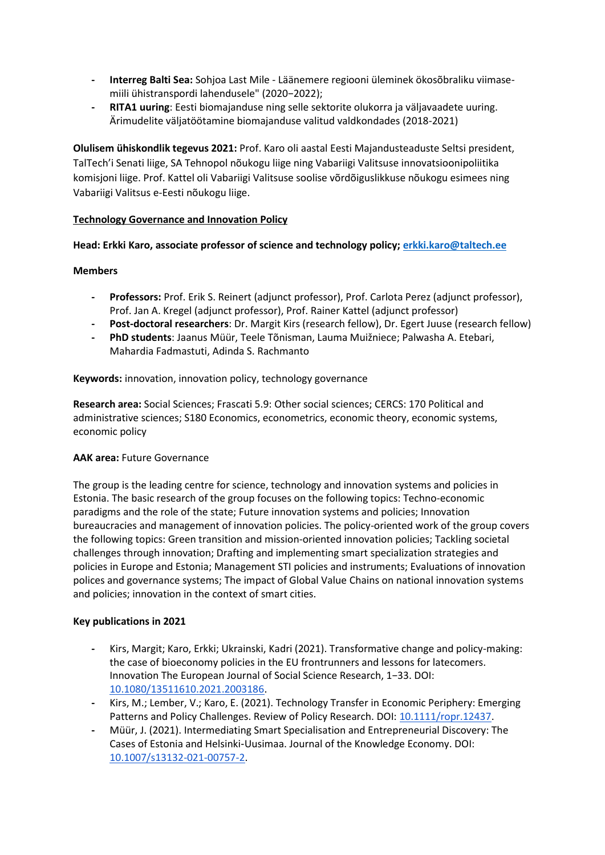- **- Interreg Balti Sea:** Sohjoa Last Mile Läänemere regiooni üleminek ökosõbraliku viimasemiili ühistranspordi lahendusele" (2020−2022);
- **- RITA1 uuring**: Eesti biomajanduse ning selle sektorite olukorra ja väljavaadete uuring. Ärimudelite väljatöötamine biomajanduse valitud valdkondades (2018-2021)

**Olulisem ühiskondlik tegevus 2021:** Prof. Karo oli aastal Eesti Majandusteaduste Seltsi president, TalTech'i Senati liige, SA Tehnopol nõukogu liige ning Vabariigi Valitsuse innovatsioonipoliitika komisjoni liige. Prof. Kattel oli Vabariigi Valitsuse soolise võrdõiguslikkuse nõukogu esimees ning Vabariigi Valitsus e-Eesti nõukogu liige.

## **Technology Governance and Innovation Policy**

## **Head: Erkki Karo, associate professor of science and technology policy[; erkki.karo@taltech.ee](mailto:erkki.karo@taltech.ee)**

## **Members**

- **- Professors:** Prof. Erik S. Reinert (adjunct professor), Prof. Carlota Perez (adjunct professor), Prof. Jan A. Kregel (adjunct professor), Prof. Rainer Kattel (adjunct professor)
- **- Post-doctoral researchers**: Dr. Margit Kirs (research fellow), Dr. Egert Juuse (research fellow)
- **- PhD students**: Jaanus Müür, Teele Tõnisman, Lauma Muižniece; Palwasha A. Etebari, Mahardia Fadmastuti, Adinda S. Rachmanto

**Keywords:** innovation, innovation policy, technology governance

**Research area:** Social Sciences; Frascati 5.9: Other social sciences; CERCS: 170 Political and administrative sciences; S180 Economics, econometrics, economic theory, economic systems, economic policy

## **AAK area:** Future Governance

The group is the leading centre for science, technology and innovation systems and policies in Estonia. The basic research of the group focuses on the following topics: Techno-economic paradigms and the role of the state; Future innovation systems and policies; Innovation bureaucracies and management of innovation policies. The policy-oriented work of the group covers the following topics: Green transition and mission-oriented innovation policies; Tackling societal challenges through innovation; Drafting and implementing smart specialization strategies and policies in Europe and Estonia; Management STI policies and instruments; Evaluations of innovation polices and governance systems; The impact of Global Value Chains on national innovation systems and policies; innovation in the context of smart cities.

## **Key publications in 2021**

- **-** Kirs, Margit; Karo, Erkki; Ukrainski, Kadri (2021). Transformative change and policy-making: the case of bioeconomy policies in the EU frontrunners and lessons for latecomers. Innovation The European Journal of Social Science Research, 1−33. DOI: [10.1080/13511610.2021.2003186.](https://doi.org/10.1080/13511610.2021.2003186)
- **-** Kirs, M.; Lember, V.; Karo, E. (2021). Technology Transfer in Economic Periphery: Emerging Patterns and Policy Challenges. Review of Policy Research. DOI: [10.1111/ropr.12437.](https://doi.org/10.1111/ropr.12437)
- **-** Müür, J. (2021). Intermediating Smart Specialisation and Entrepreneurial Discovery: The Cases of Estonia and Helsinki‑Uusimaa. Journal of the Knowledge Economy. DOI: [10.1007/s13132-021-00757-2.](https://doi.org/10.1007/s13132-021-00757-2)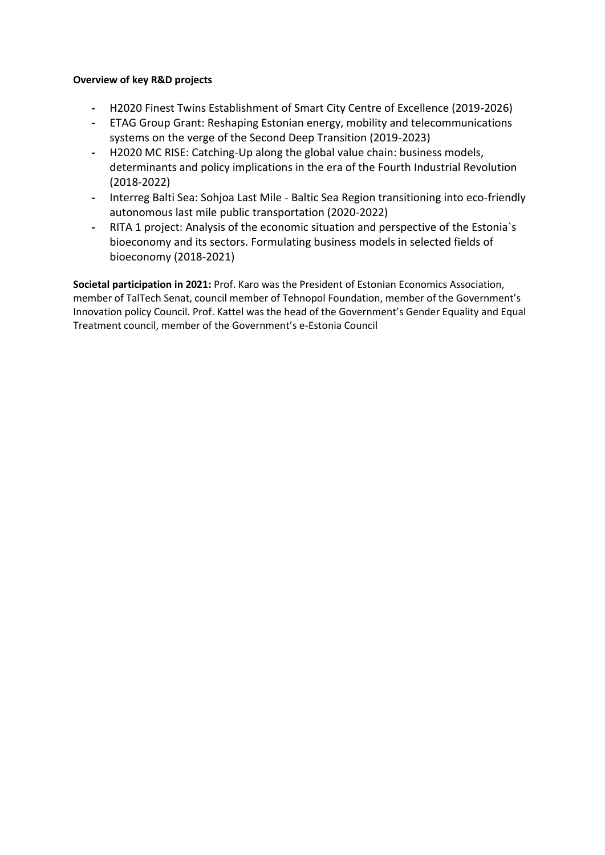## **Overview of key R&D projects**

- **-** H2020 Finest Twins Establishment of Smart City Centre of Excellence (2019-2026)
- **-** ETAG Group Grant: Reshaping Estonian energy, mobility and telecommunications systems on the verge of the Second Deep Transition (2019-2023)
- **-** H2020 MC RISE: Catching-Up along the global value chain: business models, determinants and policy implications in the era of the Fourth Industrial Revolution (2018-2022)
- **-** Interreg Balti Sea: Sohjoa Last Mile Baltic Sea Region transitioning into eco-friendly autonomous last mile public transportation (2020-2022)
- **-** RITA 1 project: Analysis of the economic situation and perspective of the Estonia`s bioeconomy and its sectors. Formulating business models in selected fields of bioeconomy (2018-2021)

**Societal participation in 2021:** Prof. Karo was the President of Estonian Economics Association, member of TalTech Senat, council member of Tehnopol Foundation, member of the Government's Innovation policy Council. Prof. Kattel was the head of the Government's Gender Equality and Equal Treatment council, member of the Government's e-Estonia Council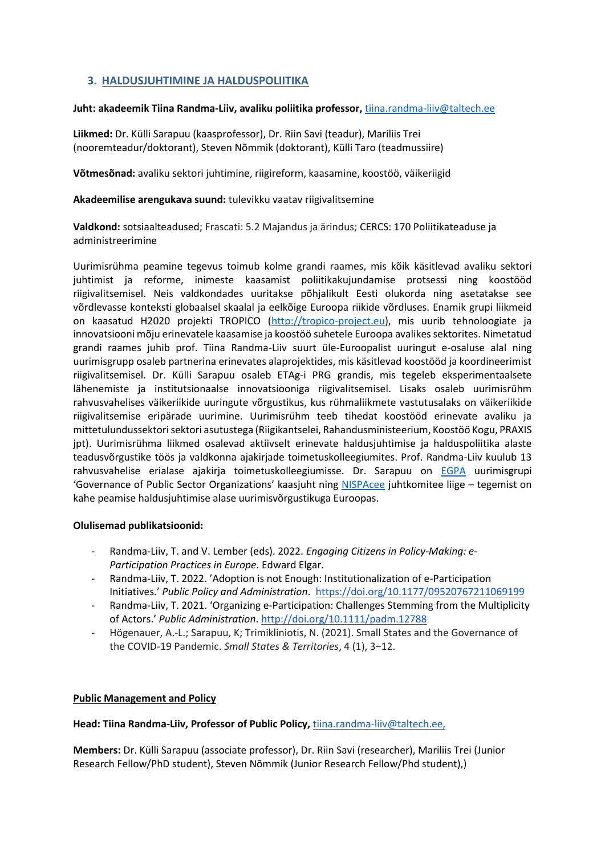# **3. HALDUSJUHTIMINE JA HALDUSPOLIITIKA**

#### **Juht: akadeemik Tiina Randma-Liiv, avaliku poliitika professor,** [tiina.randma-liiv@taltech.ee](mailto:tiina.randma-liiv@taltech.ee)

**Liikmed:** Dr. Külli Sarapuu (kaasprofessor), Dr. Riin Savi (teadur), Mariliis Trei (nooremteadur/doktorant), Steven Nõmmik (doktorant), Külli Taro (teadmussiire)

**Võtmesõnad:** avaliku sektori juhtimine, riigireform, kaasamine, koostöö, väikeriigid

**Akadeemilise arengukava suund:** tulevikku vaatav riigivalitsemine

**Valdkond:** sotsiaalteadused; Frascati: 5.2 Majandus ja ärindus; CERCS: 170 Poliitikateaduse ja administreerimine

Uurimisrühma peamine tegevus toimub kolme grandi raames, mis kõik käsitlevad avaliku sektori juhtimist ja reforme, inimeste kaasamist poliitikakujundamise protsessi ning koostööd riigivalitsemisel. Neis valdkondades uuritakse põhjalikult Eesti olukorda ning asetatakse see võrdlevasse konteksti globaalsel skaalal ja eelkõige Euroopa riikide võrdluses. Enamik grupi liikmeid on kaasatud H2020 projekti TROPICO [\(http://tropico-project.eu\)](http://tropico-project.eu/), mis uurib tehnoloogiate ja innovatsiooni mõju erinevatele kaasamise ja koostöö suhetele Euroopa avalikes sektorites. Nimetatud grandi raames juhib prof. Tiina Randma-Liiv suurt üle-Euroopalist uuringut e-osaluse alal ning uurimisgrupp osaleb partnerina erinevates alaprojektides, mis käsitlevad koostööd ja koordineerimist riigivalitsemisel. Dr. Külli Sarapuu osaleb ETAg-i PRG grandis, mis tegeleb eksperimentaalsete lähenemiste ja institutsionaalse innovatsiooniga riigivalitsemisel. Lisaks osaleb uurimisrühm rahvusvahelises väikeriikide uuringute võrgustikus, kus rühmaliikmete vastutusalaks on väikeriikide riigivalitsemise eripärade uurimine. Uurimisrühm teeb tihedat koostööd erinevate avaliku ja mittetulundussektori sektori asutustega (Riigikantselei, Rahandusministeerium, Koostöö Kogu, PRAXIS jpt). Uurimisrühma liikmed osalevad aktiivselt erinevate haldusjuhtimise ja halduspoliitika alaste teadusvõrgustike töös ja valdkonna ajakirjade toimetuskolleegiumites. Prof. Randma-Liiv kuulub 13 rahvusvahelise erialase ajakirja toimetuskolleegiumisse. Dr. Sarapuu on [EGPA](http://egpa.iias-iisa.org/egpa.iias-iisa/) uurimisgrupi 'Governance of Public Sector Organizations' kaasjuht ning [NISPAcee](http://www.nispa.org/) juhtkomitee liige – tegemist on kahe peamise haldusjuhtimise alase uurimisvõrgustikuga Euroopas.

#### **Olulisemad publikatsioonid:**

- Randma-Liiv, T. and V. Lember (eds). 2022. *Engaging Citizens in Policy-Making: e-Participation Practices in Europe*. Edward Elgar.
- Randma-Liiv, T. 2022. 'Adoption is not Enough: Institutionalization of e-Participation Initiatives.' *Public Policy and Administration*.<https://doi.org/10.1177/09520767211069199>
- Randma-Liiv, T. 2021. 'Organizing e-Participation: Challenges Stemming from the Multiplicity of Actors.' *Public Administration*[.](http://doi.org/10.1111/padm.12788) <http://doi.org/10.1111/padm.12788>
- Högenauer, A.-L.; Sarapuu, K; Trimikliniotis, N. (2021). Small States and the Governance of the COVID-19 Pandemic. *Small States & Territories*, 4 (1), 3−12.

#### **Public Management and Policy**

**Head: Tiina Randma-Liiv, Professor of Public Policy,** [tiina.randma-liiv@taltech.ee,](mailto:tiina.randma-liiv@taltech.ee)

**Members:** Dr. Külli Sarapuu (associate professor), Dr. Riin Savi (researcher), Mariliis Trei (Junior Research Fellow/PhD student), Steven Nõmmik (Junior Research Fellow/Phd student),)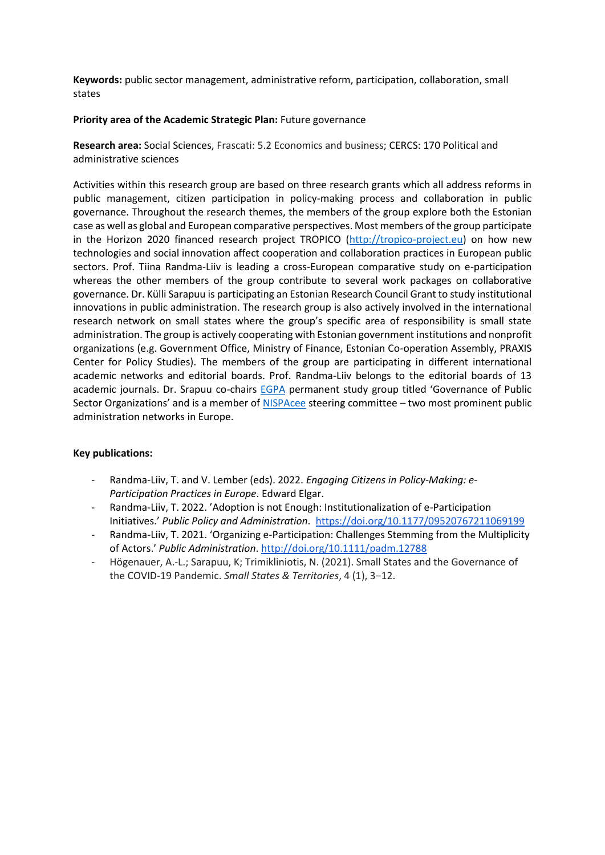**Keywords:** public sector management, administrative reform, participation, collaboration, small states

#### **Priority area of the Academic Strategic Plan:** Future governance

**Research area:** Social Sciences, Frascati: 5.2 Economics and business; CERCS: 170 Political and administrative sciences

Activities within this research group are based on three research grants which all address reforms in public management, citizen participation in policy-making process and collaboration in public governance. Throughout the research themes, the members of the group explore both the Estonian case as well as global and European comparative perspectives. Most members of the group participate in the Horizon 2020 financed research project TROPICO [\(http://tropico-project.eu\)](http://tropico-project.eu/) on how new technologies and social innovation affect cooperation and collaboration practices in European public sectors. Prof. Tiina Randma-Liiv is leading a cross-European comparative study on e-participation whereas the other members of the group contribute to several work packages on collaborative governance. Dr. Külli Sarapuu is participating an Estonian Research Council Grant to study institutional innovations in public administration. The research group is also actively involved in the international research network on small states where the group's specific area of responsibility is small state administration. The group is actively cooperating with Estonian government institutions and nonprofit organizations (e.g. Government Office, Ministry of Finance, Estonian Co-operation Assembly, PRAXIS Center for Policy Studies). The members of the group are participating in different international academic networks and editorial boards. Prof. Randma-Liiv belongs to the editorial boards of 13 academic journals. Dr. Srapuu co-chairs [EGPA](http://egpa.iias-iisa.org/egpa.iias-iisa/) permanent study group titled 'Governance of Public Sector Organizations' and is a member of [NISPAcee](http://www.nispa.org/) steering committee – two most prominent public administration networks in Europe.

## **Key publications:**

- Randma-Liiv, T. and V. Lember (eds). 2022. *Engaging Citizens in Policy-Making: e-Participation Practices in Europe*. Edward Elgar.
- Randma-Liiv, T. 2022. 'Adoption is not Enough: Institutionalization of e-Participation Initiatives.' *Public Policy and Administration*.<https://doi.org/10.1177/09520767211069199>
- Randma-Liiv, T. 2021. 'Organizing e-Participation: Challenges Stemming from the Multiplicity of Actors.' *Public Administration*[.](http://doi.org/10.1111/padm.12788) <http://doi.org/10.1111/padm.12788>
- Högenauer, A.-L.; Sarapuu, K; Trimikliniotis, N. (2021). Small States and the Governance of the COVID-19 Pandemic. *Small States & Territories*, 4 (1), 3−12.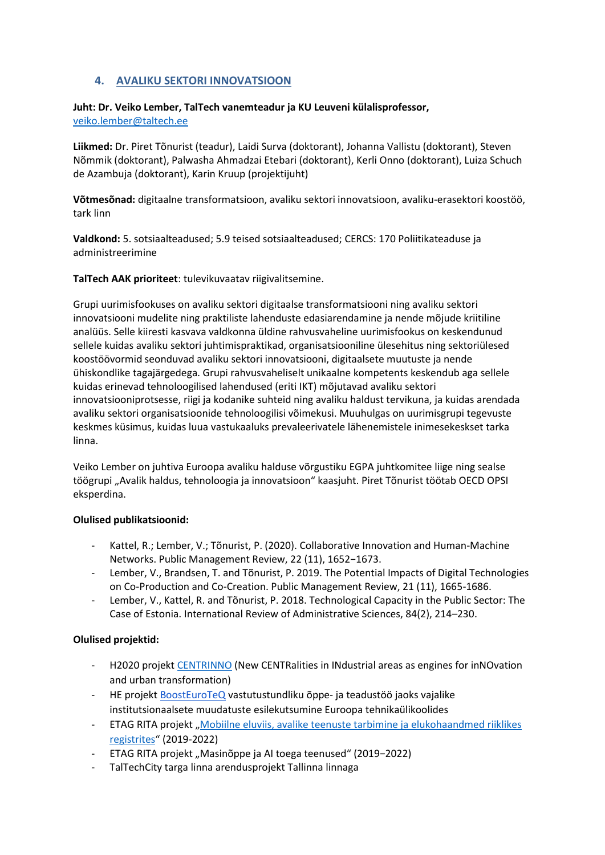# **4. AVALIKU SEKTORI INNOVATSIOON**

## **Juht: Dr. Veiko Lember, TalTech vanemteadur ja KU Leuveni külalisprofessor,**  [veiko.lember@taltech.ee](mailto:veiko.lember@taltech.ee)

**Liikmed:** Dr. Piret Tõnurist (teadur), Laidi Surva (doktorant), Johanna Vallistu (doktorant), Steven Nõmmik (doktorant), Palwasha Ahmadzai Etebari (doktorant), Kerli Onno (doktorant), Luiza Schuch de Azambuja (doktorant), Karin Kruup (projektijuht)

**Võtmesõnad:** digitaalne transformatsioon, avaliku sektori innovatsioon, avaliku-erasektori koostöö, tark linn

**Valdkond:** 5. sotsiaalteadused; 5.9 teised sotsiaalteadused; CERCS: 170 Poliitikateaduse ja administreerimine

**TalTech AAK prioriteet**: tulevikuvaatav riigivalitsemine.

Grupi uurimisfookuses on avaliku sektori digitaalse transformatsiooni ning avaliku sektori innovatsiooni mudelite ning praktiliste lahenduste edasiarendamine ja nende mõjude kriitiline analüüs. Selle kiiresti kasvava valdkonna üldine rahvusvaheline uurimisfookus on keskendunud sellele kuidas avaliku sektori juhtimispraktikad, organisatsiooniline ülesehitus ning sektoriülesed koostöövormid seonduvad avaliku sektori innovatsiooni, digitaalsete muutuste ja nende ühiskondlike tagajärgedega. Grupi rahvusvaheliselt unikaalne kompetents keskendub aga sellele kuidas erinevad tehnoloogilised lahendused (eriti IKT) mõjutavad avaliku sektori innovatsiooniprotsesse, riigi ja kodanike suhteid ning avaliku haldust tervikuna, ja kuidas arendada avaliku sektori organisatsioonide tehnoloogilisi võimekusi. Muuhulgas on uurimisgrupi tegevuste keskmes küsimus, kuidas luua vastukaaluks prevaleerivatele lähenemistele inimesekeskset tarka linna.

Veiko Lember on juhtiva Euroopa avaliku halduse võrgustiku EGPA juhtkomitee liige ning sealse töögrupi "Avalik haldus, tehnoloogia ja innovatsioon" kaasjuht. Piret Tõnurist töötab OECD OPSI eksperdina.

## **Olulised publikatsioonid:**

- Kattel, R.; Lember, V.; Tõnurist, P. (2020). Collaborative Innovation and Human-Machine Networks. Public Management Review, 22 (11), 1652−1673.
- Lember, V., Brandsen, T. and Tõnurist, P. 2019. The Potential Impacts of Digital Technologies on Co-Production and Co-Creation. Public Management Review, 21 (11), 1665-1686.
- Lember, V., Kattel, R. and Tõnurist, P. 2018. Technological Capacity in the Public Sector: The Case of Estonia. International Review of Administrative Sciences, 84(2), 214–230.

## **Olulised projektid:**

- H2020 projekt [CENTRINNO](https://centrinno.eu/) (New CENTRalities in INdustrial areas as engines for inNOvation and urban transformation)
- HE proiekt [BoostEuroTeQ](https://euroteq.eurotech-universities.eu/initiatives/scientific-output/boosteuroteq/) vastutustundliku õppe- ja teadustöö jaoks vajalike institutsionaalsete muudatuste esilekutsumine Euroopa tehnikaülikoolides
- ETAG RITA projekt "Mobiilne eluviis, avalike teenuste tarbimine ja elukohaandmed riiklikes [registrites](https://mobelu.ut.ee/avaleht)" (2019-2022)
- ETAG RITA projekt "Masinõppe ja AI toega teenused" (2019−2022)
- TalTechCity targa linna arendusprojekt Tallinna linnaga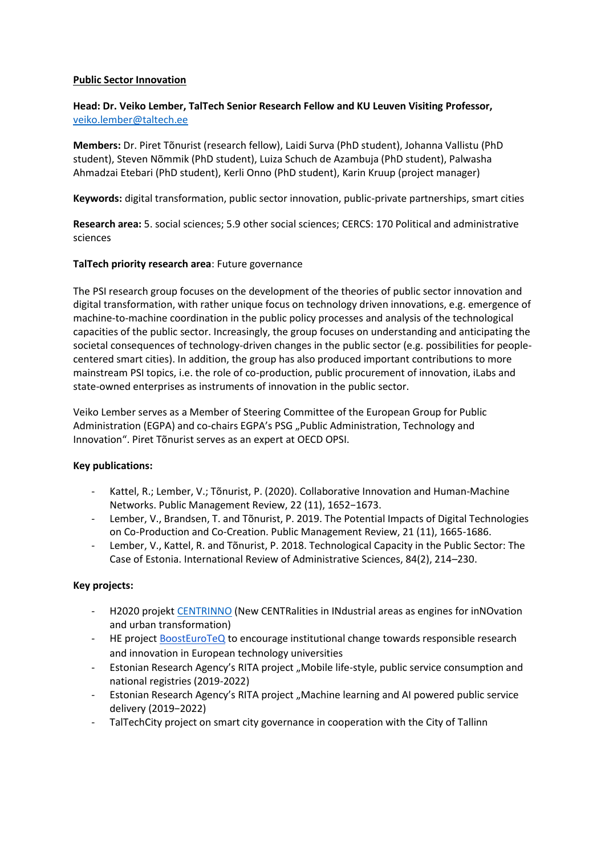#### **Public Sector Innovation**

# **Head: Dr. Veiko Lember, TalTech Senior Research Fellow and KU Leuven Visiting Professor,**  [veiko.lember@taltech.ee](mailto:veiko.lember@taltech.ee)

**Members:** Dr. Piret Tõnurist (research fellow), Laidi Surva (PhD student), Johanna Vallistu (PhD student), Steven Nõmmik (PhD student), Luiza Schuch de Azambuja (PhD student), Palwasha Ahmadzai Etebari (PhD student), Kerli Onno (PhD student), Karin Kruup (project manager)

**Keywords:** digital transformation, public sector innovation, public-private partnerships, smart cities

**Research area:** 5. social sciences; 5.9 other social sciences; CERCS: 170 Political and administrative sciences

## **TalTech priority research area**: Future governance

The PSI research group focuses on the development of the theories of public sector innovation and digital transformation, with rather unique focus on technology driven innovations, e.g. emergence of machine-to-machine coordination in the public policy processes and analysis of the technological capacities of the public sector. Increasingly, the group focuses on understanding and anticipating the societal consequences of technology-driven changes in the public sector (e.g. possibilities for peoplecentered smart cities). In addition, the group has also produced important contributions to more mainstream PSI topics, i.e. the role of co-production, public procurement of innovation, iLabs and state-owned enterprises as instruments of innovation in the public sector.

Veiko Lember serves as a Member of Steering Committee of the European Group for Public Administration (EGPA) and co-chairs EGPA's PSG "Public Administration, Technology and Innovation". Piret Tõnurist serves as an expert at OECD OPSI.

#### **Key publications:**

- Kattel, R.; Lember, V.; Tõnurist, P. (2020). Collaborative Innovation and Human-Machine Networks. Public Management Review, 22 (11), 1652−1673.
- Lember, V., Brandsen, T. and Tõnurist, P. 2019. The Potential Impacts of Digital Technologies on Co-Production and Co-Creation. Public Management Review, 21 (11), 1665-1686.
- Lember, V., Kattel, R. and Tõnurist, P. 2018. Technological Capacity in the Public Sector: The Case of Estonia. International Review of Administrative Sciences, 84(2), 214–230.

## **Key projects:**

- H2020 projekt [CENTRINNO](https://centrinno.eu/) (New CENTRalities in INdustrial areas as engines for inNOvation and urban transformation)
- HE project [BoostEuroTeQ](https://euroteq.eurotech-universities.eu/initiatives/scientific-output/boosteuroteq/) to encourage institutional change towards responsible research and innovation in European technology universities
- Estonian Research Agency's RITA project "Mobile life-style, public service consumption and national registries (2019-2022)
- Estonian Research Agency's RITA project "Machine learning and AI powered public service delivery (2019−2022)
- TalTechCity project on smart city governance in cooperation with the City of Tallinn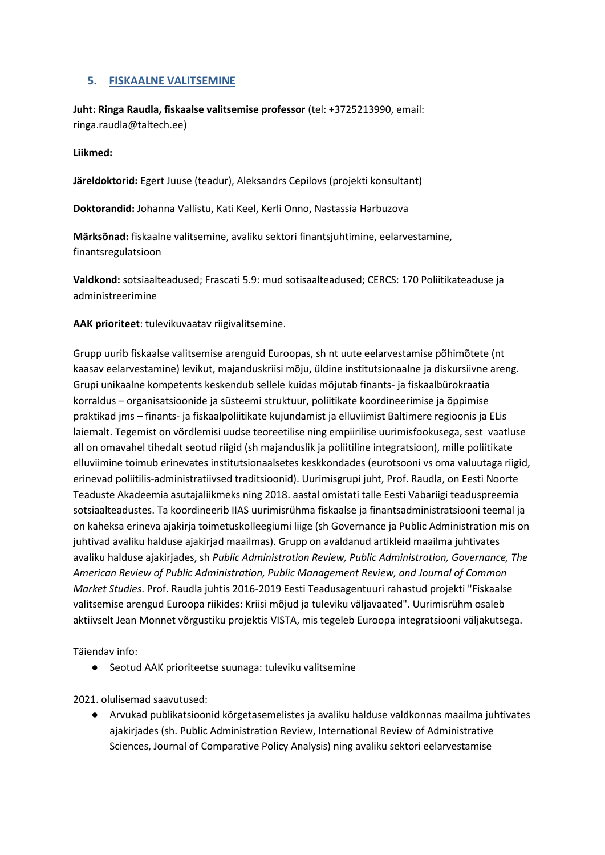# **5. FISKAALNE VALITSEMINE**

**Juht: Ringa Raudla, fiskaalse valitsemise professor** (tel: +3725213990, email: ringa.raudla@taltech.ee)

#### **Liikmed:**

**Järeldoktorid:** Egert Juuse (teadur), Aleksandrs Cepilovs (projekti konsultant)

**Doktorandid:** Johanna Vallistu, Kati Keel, Kerli Onno, Nastassia Harbuzova

**Märksõnad:** fiskaalne valitsemine, avaliku sektori finantsjuhtimine, eelarvestamine, finantsregulatsioon

**Valdkond:** sotsiaalteadused; Frascati 5.9: mud sotisaalteadused; CERCS: 170 Poliitikateaduse ja administreerimine

**AAK prioriteet**: tulevikuvaatav riigivalitsemine.

Grupp uurib fiskaalse valitsemise arenguid Euroopas, sh nt uute eelarvestamise põhimõtete (nt kaasav eelarvestamine) levikut, majanduskriisi mõju, üldine institutsionaalne ja diskursiivne areng. Grupi unikaalne kompetents keskendub sellele kuidas mõjutab finants- ja fiskaalbürokraatia korraldus – organisatsioonide ja süsteemi struktuur, poliitikate koordineerimise ja õppimise praktikad jms – finants- ja fiskaalpoliitikate kujundamist ja elluviimist Baltimere regioonis ja ELis laiemalt. Tegemist on võrdlemisi uudse teoreetilise ning empiirilise uurimisfookusega, sest vaatluse all on omavahel tihedalt seotud riigid (sh majanduslik ja poliitiline integratsioon), mille poliitikate elluviimine toimub erinevates institutsionaalsetes keskkondades (eurotsooni vs oma valuutaga riigid, erinevad poliitilis-administratiivsed traditsioonid). Uurimisgrupi juht, Prof. Raudla, on Eesti Noorte Teaduste Akadeemia asutajaliikmeks ning 2018. aastal omistati talle Eesti Vabariigi teaduspreemia sotsiaalteadustes. Ta koordineerib IIAS uurimisrühma fiskaalse ja finantsadministratsiooni teemal ja on kaheksa erineva ajakirja toimetuskolleegiumi liige (sh Governance ja Public Administration mis on juhtivad avaliku halduse ajakirjad maailmas). Grupp on avaldanud artikleid maailma juhtivates avaliku halduse ajakirjades, sh *Public Administration Review, Public Administration, Governance, The American Review of Public Administration, Public Management Review, and Journal of Common Market Studies*. Prof. Raudla juhtis 2016-2019 Eesti Teadusagentuuri rahastud projekti "Fiskaalse valitsemise arengud Euroopa riikides: Kriisi mõjud ja tuleviku väljavaated". Uurimisrühm osaleb aktiivselt Jean Monnet võrgustiku projektis VISTA, mis tegeleb Euroopa integratsiooni väljakutsega.

Täiendav info:

● Seotud AAK prioriteetse suunaga: tuleviku valitsemine

2021. olulisemad saavutused:

● Arvukad publikatsioonid kõrgetasemelistes ja avaliku halduse valdkonnas maailma juhtivates ajakirjades (sh. Public Administration Review, International Review of Administrative Sciences, Journal of Comparative Policy Analysis) ning avaliku sektori eelarvestamise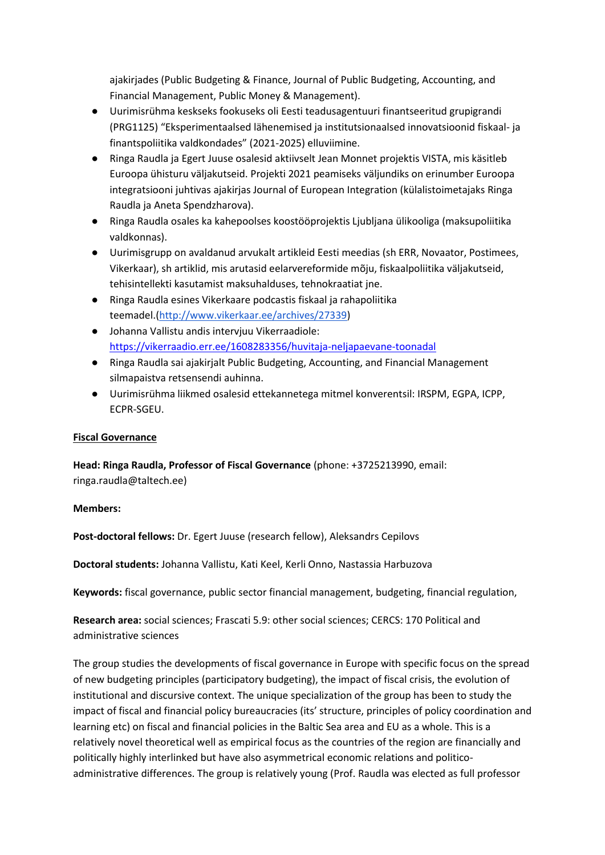ajakirjades (Public Budgeting & Finance, Journal of Public Budgeting, Accounting, and Financial Management, Public Money & Management).

- Uurimisrühma keskseks fookuseks oli Eesti teadusagentuuri finantseeritud grupigrandi (PRG1125) "Eksperimentaalsed lähenemised ja institutsionaalsed innovatsioonid fiskaal- ja finantspoliitika valdkondades" (2021-2025) elluviimine.
- Ringa Raudla ja Egert Juuse osalesid aktiivselt Jean Monnet projektis VISTA, mis käsitleb Euroopa ühisturu väljakutseid. Projekti 2021 peamiseks väljundiks on erinumber Euroopa integratsiooni juhtivas ajakirjas Journal of European Integration (külalistoimetajaks Ringa Raudla ja Aneta Spendzharova).
- Ringa Raudla osales ka kahepoolses koostööprojektis Ljubljana ülikooliga (maksupoliitika valdkonnas).
- Uurimisgrupp on avaldanud arvukalt artikleid Eesti meedias (sh ERR, Novaator, Postimees, Vikerkaar), sh artiklid, mis arutasid eelarvereformide mõju, fiskaalpoliitika väljakutseid, tehisintellekti kasutamist maksuhalduses, tehnokraatiat jne.
- Ringa Raudla esines Vikerkaare podcastis fiskaal ja rahapoliitika teemadel.[\(http://www.vikerkaar.ee/archives/27339\)](http://www.vikerkaar.ee/archives/27339)
- Johanna Vallistu andis intervjuu Vikerraadiole: <https://vikerraadio.err.ee/1608283356/huvitaja-neljapaevane-toonadal>
- Ringa Raudla sai ajakirjalt Public Budgeting, Accounting, and Financial Management silmapaistva retsensendi auhinna.
- Uurimisrühma liikmed osalesid ettekannetega mitmel konverentsil: IRSPM, EGPA, ICPP, ECPR-SGEU.

## **Fiscal Governance**

**Head: Ringa Raudla, Professor of Fiscal Governance** (phone: +3725213990, email: ringa.raudla@taltech.ee)

## **Members:**

**Post-doctoral fellows:** Dr. Egert Juuse (research fellow), Aleksandrs Cepilovs

**Doctoral students:** Johanna Vallistu, Kati Keel, Kerli Onno, Nastassia Harbuzova

**Keywords:** fiscal governance, public sector financial management, budgeting, financial regulation,

**Research area:** social sciences; Frascati 5.9: other social sciences; CERCS: 170 Political and administrative sciences

The group studies the developments of fiscal governance in Europe with specific focus on the spread of new budgeting principles (participatory budgeting), the impact of fiscal crisis, the evolution of institutional and discursive context. The unique specialization of the group has been to study the impact of fiscal and financial policy bureaucracies (its' structure, principles of policy coordination and learning etc) on fiscal and financial policies in the Baltic Sea area and EU as a whole. This is a relatively novel theoretical well as empirical focus as the countries of the region are financially and politically highly interlinked but have also asymmetrical economic relations and politicoadministrative differences. The group is relatively young (Prof. Raudla was elected as full professor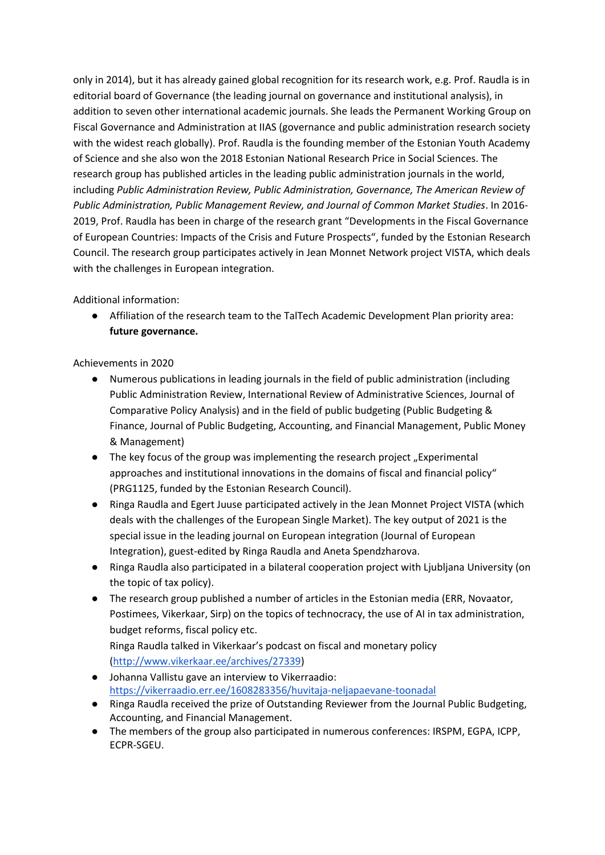only in 2014), but it has already gained global recognition for its research work, e.g. Prof. Raudla is in editorial board of Governance (the leading journal on governance and institutional analysis), in addition to seven other international academic journals. She leads the Permanent Working Group on Fiscal Governance and Administration at IIAS (governance and public administration research society with the widest reach globally). Prof. Raudla is the founding member of the Estonian Youth Academy of Science and she also won the 2018 Estonian National Research Price in Social Sciences. The research group has published articles in the leading public administration journals in the world, including *Public Administration Review, Public Administration, Governance, The American Review of Public Administration, Public Management Review, and Journal of Common Market Studies*. In 2016- 2019, Prof. Raudla has been in charge of the research grant "Developments in the Fiscal Governance of European Countries: Impacts of the Crisis and Future Prospects", funded by the Estonian Research Council. The research group participates actively in Jean Monnet Network project VISTA, which deals with the challenges in European integration.

Additional information:

● Affiliation of the research team to the TalTech Academic Development Plan priority area: **future governance.** 

Achievements in 2020

- Numerous publications in leading journals in the field of public administration (including Public Administration Review, International Review of Administrative Sciences, Journal of Comparative Policy Analysis) and in the field of public budgeting (Public Budgeting & Finance, Journal of Public Budgeting, Accounting, and Financial Management, Public Money & Management)
- The key focus of the group was implementing the research project "Experimental approaches and institutional innovations in the domains of fiscal and financial policy" (PRG1125, funded by the Estonian Research Council).
- Ringa Raudla and Egert Juuse participated actively in the Jean Monnet Project VISTA (which deals with the challenges of the European Single Market). The key output of 2021 is the special issue in the leading journal on European integration (Journal of European Integration), guest-edited by Ringa Raudla and Aneta Spendzharova.
- Ringa Raudla also participated in a bilateral cooperation project with Ljubljana University (on the topic of tax policy).
- The research group published a number of articles in the Estonian media (ERR, Novaator, Postimees, Vikerkaar, Sirp) on the topics of technocracy, the use of AI in tax administration, budget reforms, fiscal policy etc.

Ringa Raudla talked in Vikerkaar's podcast on fiscal and monetary policy [\(http://www.vikerkaar.ee/archives/27339\)](http://www.vikerkaar.ee/archives/27339)

- Johanna Vallistu gave an interview to Vikerraadio: <https://vikerraadio.err.ee/1608283356/huvitaja-neljapaevane-toonadal>
- Ringa Raudla received the prize of Outstanding Reviewer from the Journal Public Budgeting, Accounting, and Financial Management.
- The members of the group also participated in numerous conferences: IRSPM, EGPA, ICPP, ECPR-SGEU.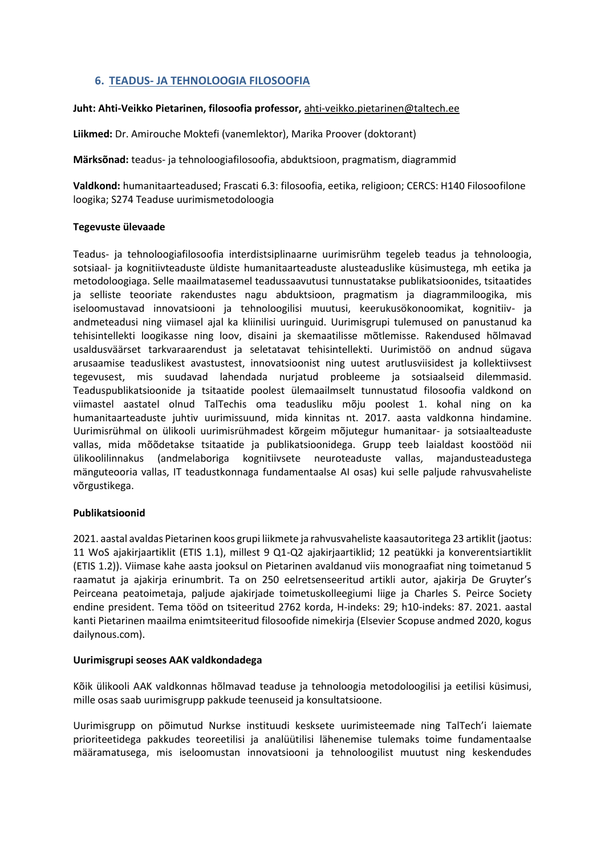# **6. TEADUS- JA TEHNOLOOGIA FILOSOOFIA**

#### **Juht: Ahti-Veikko Pietarinen, filosoofia professor,** [ahti-veikko.pietarinen@taltech.ee](mailto:ahti-veikko.pietarinen@taltech.ee)

**Liikmed:** Dr. Amirouche Moktefi (vanemlektor), Marika Proover (doktorant)

**Märksõnad:** teadus- ja tehnoloogiafilosoofia, abduktsioon, pragmatism, diagrammid

**Valdkond:** humanitaarteadused; Frascati 6.3: filosoofia, eetika, religioon; CERCS: H140 Filosoofilone loogika; S274 Teaduse uurimismetodoloogia

#### **Tegevuste ülevaade**

Teadus- ja tehnoloogiafilosoofia interdistsiplinaarne uurimisrühm tegeleb teadus ja tehnoloogia, sotsiaal- ja kognitiivteaduste üldiste humanitaarteaduste alusteaduslike küsimustega, mh eetika ja metodoloogiaga. Selle maailmatasemel teadussaavutusi tunnustatakse publikatsioonides, tsitaatides ja selliste teooriate rakendustes nagu abduktsioon, pragmatism ja diagrammiloogika, mis iseloomustavad innovatsiooni ja tehnoloogilisi muutusi, keerukusökonoomikat, kognitiiv- ja andmeteadusi ning viimasel ajal ka kliinilisi uuringuid. Uurimisgrupi tulemused on panustanud ka tehisintellekti loogikasse ning loov, disaini ja skemaatilisse mõtlemisse. Rakendused hõlmavad usaldusväärset tarkvaraarendust ja seletatavat tehisintellekti. Uurimistöö on andnud sügava arusaamise teaduslikest avastustest, innovatsioonist ning uutest arutlusviisidest ja kollektiivsest tegevusest, mis suudavad lahendada nurjatud probleeme ja sotsiaalseid dilemmasid. Teaduspublikatsioonide ja tsitaatide poolest ülemaailmselt tunnustatud filosoofia valdkond on viimastel aastatel olnud TalTechis oma teadusliku mõju poolest 1. kohal ning on ka humanitaarteaduste juhtiv uurimissuund, mida kinnitas nt. 2017. aasta valdkonna hindamine. Uurimisrühmal on ülikooli uurimisrühmadest kõrgeim mõjutegur humanitaar- ja sotsiaalteaduste vallas, mida mõõdetakse tsitaatide ja publikatsioonidega. Grupp teeb laialdast koostööd nii ülikoolilinnakus (andmelaboriga kognitiivsete neuroteaduste vallas, majandusteadustega mänguteooria vallas, IT teadustkonnaga fundamentaalse AI osas) kui selle paljude rahvusvaheliste võrgustikega.

#### **Publikatsioonid**

2021. aastal avaldas Pietarinen koos grupi liikmete ja rahvusvaheliste kaasautoritega 23 artiklit (jaotus: 11 WoS ajakirjaartiklit (ETIS 1.1), millest 9 Q1-Q2 ajakirjaartiklid; 12 peatükki ja konverentsiartiklit (ETIS 1.2)). Viimase kahe aasta jooksul on Pietarinen avaldanud viis monograafiat ning toimetanud 5 raamatut ja ajakirja erinumbrit. Ta on 250 eelretsenseeritud artikli autor, ajakirja De Gruyter's Peirceana peatoimetaja, paljude ajakirjade toimetuskolleegiumi liige ja Charles S. Peirce Society endine president. Tema tööd on tsiteeritud 2762 korda, H-indeks: 29; h10-indeks: 87. 2021. aastal kanti Pietarinen maailma enimtsiteeritud filosoofide nimekirja (Elsevier Scopuse andmed 2020, kogus dailynous.com).

#### **Uurimisgrupi seoses AAK valdkondadega**

Kõik ülikooli AAK valdkonnas hõlmavad teaduse ja tehnoloogia metodoloogilisi ja eetilisi küsimusi, mille osas saab uurimisgrupp pakkude teenuseid ja konsultatsioone.

Uurimisgrupp on põimutud Nurkse instituudi kesksete uurimisteemade ning TalTech'i laiemate prioriteetidega pakkudes teoreetilisi ja analüütilisi lähenemise tulemaks toime fundamentaalse määramatusega, mis iseloomustan innovatsiooni ja tehnoloogilist muutust ning keskendudes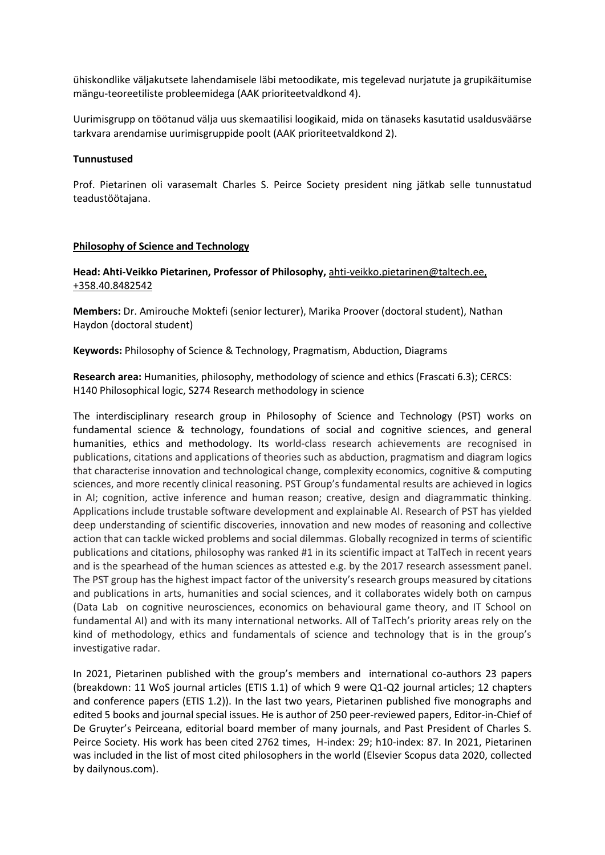ühiskondlike väljakutsete lahendamisele läbi metoodikate, mis tegelevad nurjatute ja grupikäitumise mängu-teoreetiliste probleemidega (AAK prioriteetvaldkond 4).

Uurimisgrupp on töötanud välja uus skemaatilisi loogikaid, mida on tänaseks kasutatid usaldusväärse tarkvara arendamise uurimisgruppide poolt (AAK prioriteetvaldkond 2).

#### **Tunnustused**

Prof. Pietarinen oli varasemalt Charles S. Peirce Society president ning jätkab selle tunnustatud teadustöötajana.

#### **Philosophy of Science and Technology**

#### **Head: Ahti-Veikko Pietarinen, Professor of Philosophy,** [ahti-veikko.pietarinen@taltech.ee,](mailto:ahti-veikko.pietarinen@taltech.ee) +358.40.8482542

**Members:** Dr. Amirouche Moktefi (senior lecturer), Marika Proover (doctoral student), Nathan Haydon (doctoral student)

**Keywords:** Philosophy of Science & Technology, Pragmatism, Abduction, Diagrams

**Research area:** Humanities, philosophy, methodology of science and ethics (Frascati 6.3); CERCS: H140 Philosophical logic, S274 Research methodology in science

The interdisciplinary research group in Philosophy of Science and Technology (PST) works on fundamental science & technology, foundations of social and cognitive sciences, and general humanities, ethics and methodology. Its world-class research achievements are recognised in publications, citations and applications of theories such as abduction, pragmatism and diagram logics that characterise innovation and technological change, complexity economics, cognitive & computing sciences, and more recently clinical reasoning. PST Group's fundamental results are achieved in logics in AI; cognition, active inference and human reason; creative, design and diagrammatic thinking. Applications include trustable software development and explainable AI. Research of PST has yielded deep understanding of scientific discoveries, innovation and new modes of reasoning and collective action that can tackle wicked problems and social dilemmas. Globally recognized in terms of scientific publications and citations, philosophy was ranked #1 in its scientific impact at TalTech in recent years and is the spearhead of the human sciences as attested e.g. by the 2017 research assessment panel. The PST group has the highest impact factor of the university's research groups measured by citations and publications in arts, humanities and social sciences, and it collaborates widely both on campus (Data Lab on cognitive neurosciences, economics on behavioural game theory, and IT School on fundamental AI) and with its many international networks. All of TalTech's priority areas rely on the kind of methodology, ethics and fundamentals of science and technology that is in the group's investigative radar.

In 2021, Pietarinen published with the group's members and international co-authors 23 papers (breakdown: 11 WoS journal articles (ETIS 1.1) of which 9 were Q1-Q2 journal articles; 12 chapters and conference papers (ETIS 1.2)). In the last two years, Pietarinen published five monographs and edited 5 books and journal special issues. He is author of 250 peer-reviewed papers, Editor-in-Chief of De Gruyter's Peirceana, editorial board member of many journals, and Past President of Charles S. Peirce Society. His work has been cited 2762 times, H-index: 29; h10-index: 87. In 2021, Pietarinen was included in the list of most cited philosophers in the world (Elsevier Scopus data 2020, collected by dailynous.com).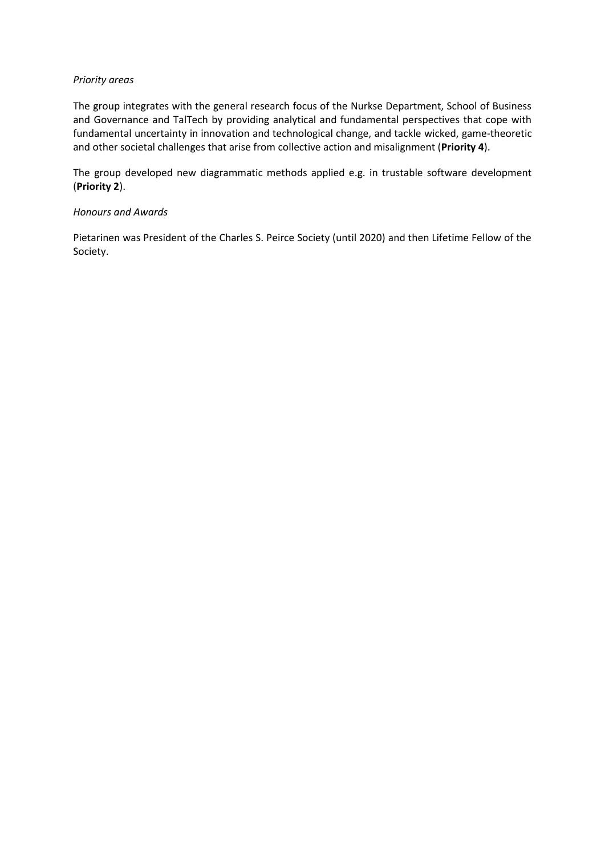#### *Priority areas*

The group integrates with the general research focus of the Nurkse Department, School of Business and Governance and TalTech by providing analytical and fundamental perspectives that cope with fundamental uncertainty in innovation and technological change, and tackle wicked, game-theoretic and other societal challenges that arise from collective action and misalignment (**Priority 4**).

The group developed new diagrammatic methods applied e.g. in trustable software development (**Priority 2**).

#### *Honours and Awards*

Pietarinen was President of the Charles S. Peirce Society (until 2020) and then Lifetime Fellow of the Society.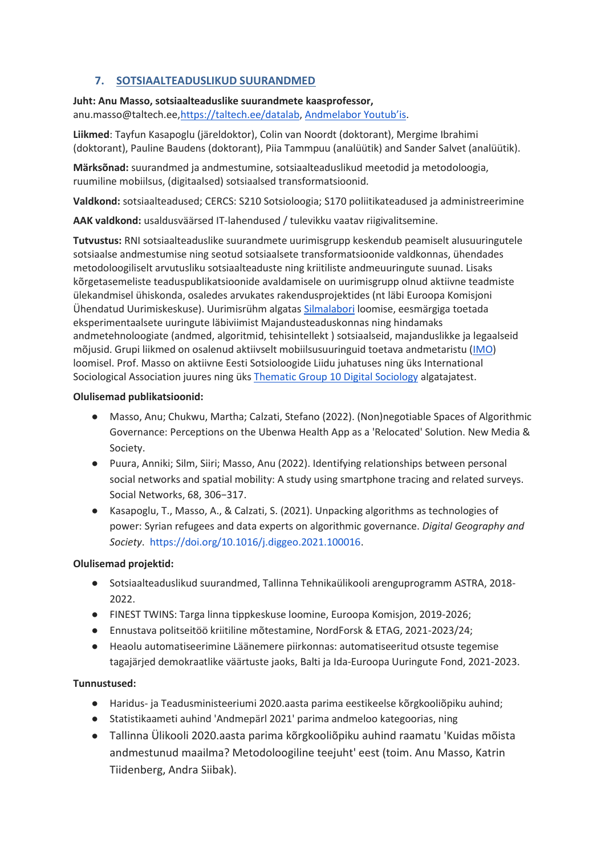# **7. SOTSIAALTEADUSLIKUD SUURANDMED**

**Juht: Anu Masso, sotsiaalteaduslike suurandmete kaasprofessor,**  anu.masso@taltech.ee[,https://taltech.ee/datalab,](https://taltech.ee/datalab) [Andmelabor Youtub'is](https://www.youtube.com/channel/UC1e_a_JpRBK2782i10b9Y3g).

**Liikmed**: Tayfun Kasapoglu (järeldoktor), Colin van Noordt (doktorant), Mergime Ibrahimi (doktorant), Pauline Baudens (doktorant), Piia Tammpuu (analüütik) and Sander Salvet (analüütik).

**Märksõnad:** suurandmed ja andmestumine, sotsiaalteaduslikud meetodid ja metodoloogia, ruumiline mobiilsus, (digitaalsed) sotsiaalsed transformatsioonid.

**Valdkond:** sotsiaalteadused; CERCS: S210 Sotsioloogia; S170 poliitikateadused ja administreerimine

**AAK valdkond:** usaldusväärsed IT-lahendused / tulevikku vaatav riigivalitsemine.

**Tutvustus:** RNI sotsiaalteaduslike suurandmete uurimisgrupp keskendub peamiselt alusuuringutele sotsiaalse andmestumise ning seotud sotsiaalsete transformatsioonide valdkonnas, ühendades metodoloogiliselt arvutusliku sotsiaalteaduste ning kriitiliste andmeuuringute suunad. Lisaks kõrgetasemeliste teaduspublikatsioonide avaldamisele on uurimisgrupp olnud aktiivne teadmiste ülekandmisel ühiskonda, osaledes arvukates rakendusprojektides (nt läbi Euroopa Komisjoni Ühendatud Uurimiskeskuse). Uurimisrühm algatas [Silmalabori](https://taltech.ee/en/sbg/cooperation/eye-tracking-lab) loomise, eesmärgiga toetada eksperimentaalsete uuringute läbiviimist Majandusteaduskonnas ning hindamaks andmetehnoloogiate (andmed, algoritmid, tehisintellekt ) sotsiaalseid, majanduslikke ja legaalseid mõjusid. Grupi liikmed on osalenud aktiivselt mobiilsusuuringuid toetava andmetaristu ([IMO\)](https://imo.ut.ee/) loomisel. Prof. Masso on aktiivne Eesti Sotsioloogide Liidu juhatuses ning üks International Sociological Association juures ning ük[s](https://tg10digitalsociology.wordpress.com/) [Thematic Group 10 Digital Sociology](https://tg10digitalsociology.wordpress.com/) algatajatest.

## **Olulisemad publikatsioonid:**

- Masso, Anu; Chukwu, Martha; Calzati, Stefano (2022). (Non)negotiable Spaces of Algorithmic Governance: Perceptions on the Ubenwa Health App as a 'Relocated' Solution. New Media & Society.
- Puura, Anniki; Silm, Siiri; Masso, Anu (2022). Identifying relationships between personal social networks and spatial mobility: A study using smartphone tracing and related surveys. Social Networks, 68, 306−317.
- Kasapoglu, T., Masso, A., & Calzati, S. (2021). Unpacking algorithms as technologies of power: Syrian refugees and data experts on algorithmic governance. *Digital Geography and Society*. [https://doi.org/10.1016/j.diggeo.2021.100016.](https://doi.org/10.1016/j.diggeo.2021.100016)

## **Olulisemad projektid:**

- Sotsiaalteaduslikud suurandmed, Tallinna Tehnikaülikooli arenguprogramm ASTRA, 2018- 2022.
- FINEST TWINS: Targa linna tippkeskuse loomine, Euroopa Komisjon, 2019-2026;
- Ennustava politseitöö kriitiline mõtestamine, NordForsk & ETAG, 2021-2023/24;
- Heaolu automatiseerimine Läänemere piirkonnas: automatiseeritud otsuste tegemise tagajärjed demokraatlike väärtuste jaoks, Balti ja Ida-Euroopa Uuringute Fond, 2021-2023.

## **Tunnustused:**

- Haridus- ja Teadusministeeriumi 2020.aasta parima eestikeelse kõrgkooliõpiku auhind;
- Statistikaameti auhind 'Andmepärl 2021' parima andmeloo kategoorias, ning
- Tallinna Ülikooli 2020.aasta parima kõrgkooliõpiku auhind raamatu 'Kuidas mõista andmestunud maailma? Metodoloogiline teejuht' eest (toim. Anu Masso, Katrin Tiidenberg, Andra Siibak).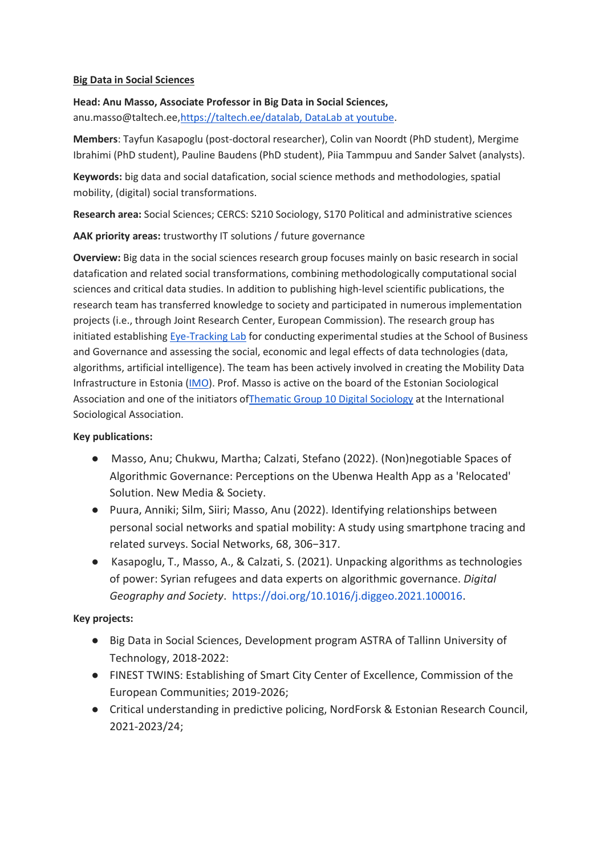## **Big Data in Social Sciences**

**Head: Anu Masso, Associate Professor in Big Data in Social Sciences,**  anu.masso@taltech.ee[,https://taltech.ee/datalab,](https://taltech.ee/datalab) DataLab [at youtube.](https://www.youtube.com/channel/UC1e_a_JpRBK2782i10b9Y3g)

**Members**: Tayfun Kasapoglu (post-doctoral researcher), Colin van Noordt (PhD student), Mergime Ibrahimi (PhD student), Pauline Baudens (PhD student), Piia Tammpuu and Sander Salvet (analysts).

**Keywords:** big data and social datafication, social science methods and methodologies, spatial mobility, (digital) social transformations.

**Research area:** Social Sciences; CERCS: S210 Sociology, S170 Political and administrative sciences

**AAK priority areas:** trustworthy IT solutions / future governance

**Overview:** Big data in the social sciences research group focuses mainly on basic research in social datafication and related social transformations, combining methodologically computational social sciences and critical data studies. In addition to publishing high-level scientific publications, the research team has transferred knowledge to society and participated in numerous implementation projects (i.e., through Joint Research Center, European Commission). The research group has initiated establishing [Eye-Tracking Lab](https://taltech.ee/en/sbg/cooperation/eye-tracking-lab) for conducting experimental studies at the School of Business and Governance and assessing the social, economic and legal effects of data technologies (data, algorithms, artificial intelligence). The team has been actively involved in creating the Mobility Data Infrastructure in Estonia [\(IMO\)](https://imo.ut.ee/). Prof. Masso is active on the board of the Estonian Sociological Association and one of the initiators o[fThematic Group 10 Digital Sociology](https://tg10digitalsociology.wordpress.com/) at the International Sociological Association.

## **Key publications:**

- Masso, Anu; Chukwu, Martha; Calzati, Stefano (2022). (Non)negotiable Spaces of Algorithmic Governance: Perceptions on the Ubenwa Health App as a 'Relocated' Solution. New Media & Society.
- Puura, Anniki; Silm, Siiri; Masso, Anu (2022). Identifying relationships between personal social networks and spatial mobility: A study using smartphone tracing and related surveys. Social Networks, 68, 306−317.
- Kasapoglu, T., Masso, A., & Calzati, S. (2021). Unpacking algorithms as technologies of power: Syrian refugees and data experts on algorithmic governance. *Digital Geography and Society*. [https://doi.org/10.1016/j.diggeo.2021.100016.](https://doi.org/10.1016/j.diggeo.2021.100016)

# **Key projects:**

- Big Data in Social Sciences, Development program ASTRA of Tallinn University of Technology, 2018-2022:
- FINEST TWINS: Establishing of Smart City Center of Excellence, Commission of the European Communities; 2019-2026;
- Critical understanding in predictive policing, NordForsk & Estonian Research Council, 2021-2023/24;